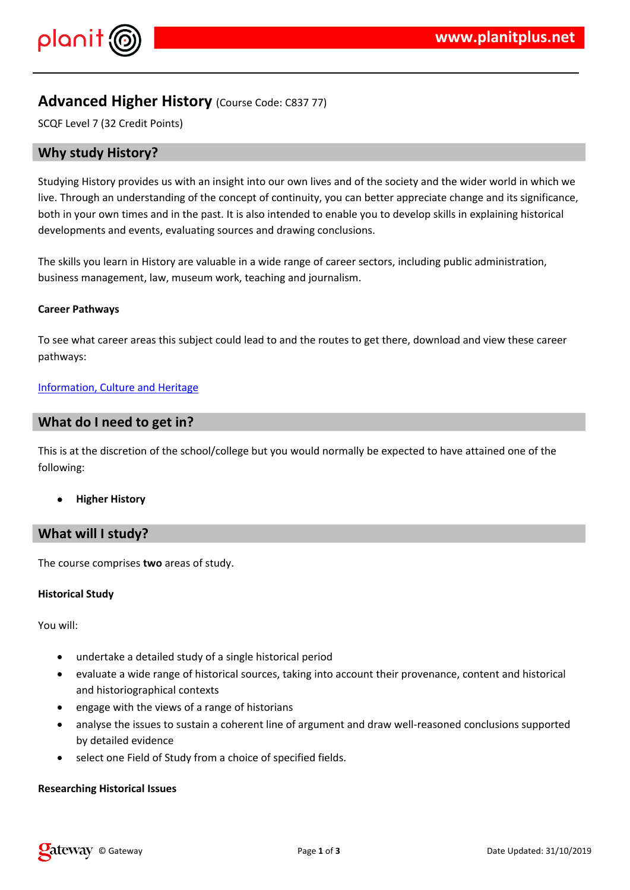## $!$  " # \$  $\%$  % &

 $-$  (%& & %. & %& (\*%) \$& & & -\$ # \$ 0%1\$\$\$%&&%& (9) # \$ & & & # \$ % & & \ % & \ & \ \$ % & \*

 $+($  0%\$\$ \$ &#%\$& '-%\$&% & ) %&,}\$ %\$%)%&%  $\%$  $-$  % & . & \$ &,, . 0, ) (& & & \$ % . \*

 $+$  ( )  $-2$  ()%) \$\$ & ( ( , &\$ & #% (  $\sqrt{2}$ 

 $/8$  . % &, \$' % &

 $+($  %  $\%$  (  $\%$   $()$  (  $\%$   $\&$   $\$$   $\$$   $\$$   $\$$   $\&$   $\&$   $\$$   $\$$   $\$$   $($   $\#$   $\%$   $\&$   $\&$ \$\$%&

 $+$  ( ) ) . %

 $3\%$ \$\$

& 0 %\$ %&\$(% %)\$ %<br>#\$ % & (%, %0)%\$& %&(%)) &# & &),&} &(%& %) & % 11 \$ & (%

& % ( ( # % & ( % % &

& \$ ( % %) & ( & \$ % & 8 & 3 \$ \$4\$ %&&  $-$  %\$ #% &)

 $\text{\$}$  )  $\text{\&}$   $\text{\$}$  (%) )% %  $%$  \$ \*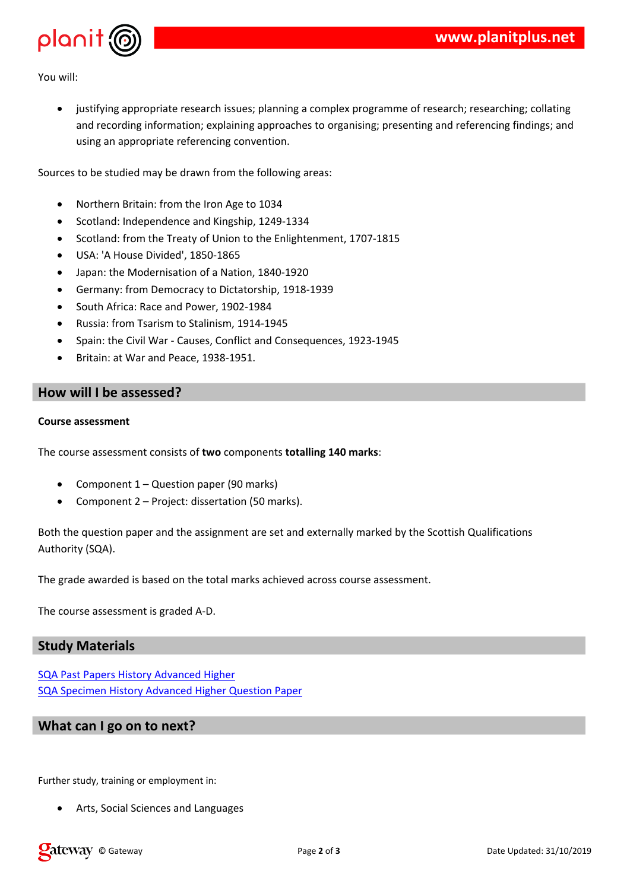$\mathbf{3}$ %\$\$

> $\frac{96\%}{8588\,(00)}$  \$ 1.  $2\frac{96}{96}$  % &  $(5)$   $$9($ % & ) %& %& . % & 5 1 \$ %&&%& % & & %(& & & )%& % &  $\%$ %&&  $8 # 880 \% 88 8 *$  $($   $)$   $\%$   $.$   $\& ($   $\$$   $\$$   $\%$   $\&$ 6 ( & 7 % % & &  $\overline{9}$  $(9, 9, 4, 9)$   $(1, 1, 1, 1)$   $(2, 1, 1, 1, 1)$   $(3, 1, 1, 1, 1, 1)$   $(4, 1, 1, 1, 1, 1)$  $958$  $+$  (  $8\%$  & (;  $8\$\%$  (  $8.$  & , 4 <  $8 = 8$  ' %#% =, < 4 >< ? & ( @ & % 6 % % & & , 9 4  $8 \t\t (8)$  (%) (%) 4 (%)  $(8 %)$  A  $8$  4 9 A % . + % .  $$\%8\%$  ., 94 9<<br>%& %#%\$ B 4 &, &&  $$\%8\%$  , 4 9<  $7 % % % % % B ) , & 4   
>  *$

 $\mathbf{I}$ 

 $+( )$   $8 \times 8 \times 8$  $"# !$  \$  $88$  D % & 0  $88$  D 2 ) % % & < . 0 \* 7 ( (C % & ( &% & & & 1 & \$\$ . 0 - ( \$% %% (% & 8 ( % 8 \*  $\%$  - (  $\&\$$  0 ) (% # ) ) (  $\&$  \*  $+$  (  $+$  ( )  $8\sqrt{84}$  \*

 $\%$ 

 $8$   $\frac{1}{8}$   $\frac{4}{8}$   $\frac{8}{9}$   $\frac{6}{1}$  ( 8 ) % . ' % 8 # & ) ' % ( % &

## $\alpha$

 $!$  (, %&%\$&.&%&

 $8$ ,  $9\%$  \$  $9\%$  8&) &